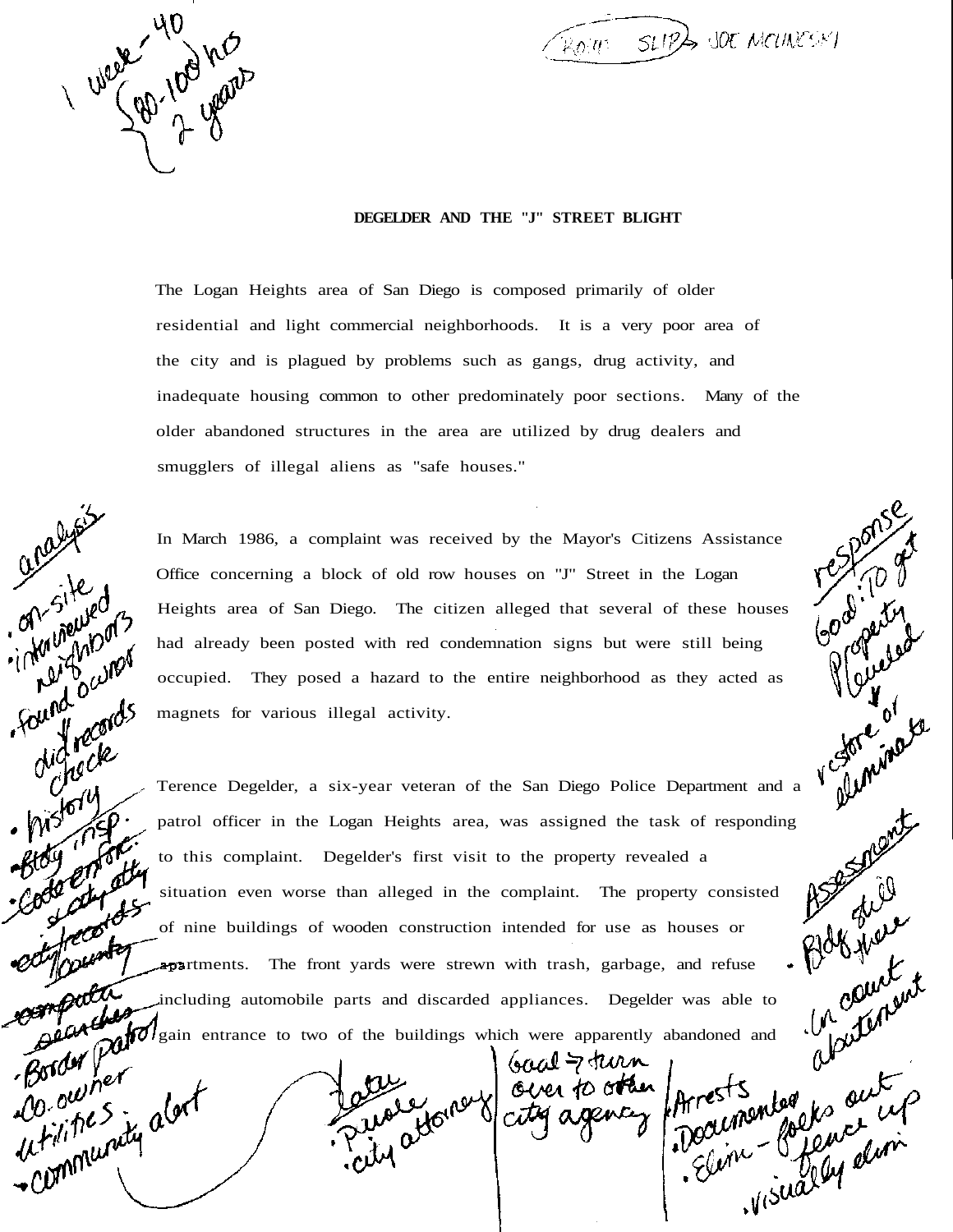UNOVE 100 his

on site of

found owne

ound our ds

 $\frac{1}{15}$ 

Border For<br>D. owner<br>D. she S.

Do. outlet<br>whites in alger

 $\widehat{\mathbb{R}_{0}}$  in  $\widehat{\mathbb{R}_{1}}$  sup  $\widehat{\mathbb{R}_{2}}$  sup  $\widehat{\mathbb{R}_{2}}$  supposes that

 $\frac{1}{2}$ of

## **DEGELDER AND THE "J" STREET BLIGHT**

The Logan Heights area of San Diego is composed primarily of older residential and light commercial neighborhoods. It is a very poor area of the city and is plagued by problems such as gangs, drug activity, and inadequate housing common to other predominately poor sections. Many of the older abandoned structures in the area are utilized by drug dealers and smugglers of illegal aliens as "safe houses."

In March 1986, a complaint was received by the Mayor's Citizens Assistance Office concerning a block of old row houses on "J" Street in the Logan Heights area of San Diego. The citizen alleged that several of these houses had already been posted with red condemnation signs but were still being occupied. They posed a hazard to the entire neighborhood as they acted as magnets for various illegal activity.

Terence Degelder, a six-year veteran of the San Diego Police Department and a variation particle of the Logan Heights area, was assigned the task of responding to this complaint. Degelder's first visit to the property rev patrol officer in the Logan Heights area, was assigned the task of responding to this complaint. Degelder's first visit to the property revealed a situation even worse than alleged in the complaint. The property consisted of nine buildings of wooden construction intended for use as houses or **apartments.** The front yards were strewn with trash, garbage, and refuse including automobile parts and discarded appliances. Degelder was able to gain entrance to two of the buildings which were apparently abandoned and

the young over to other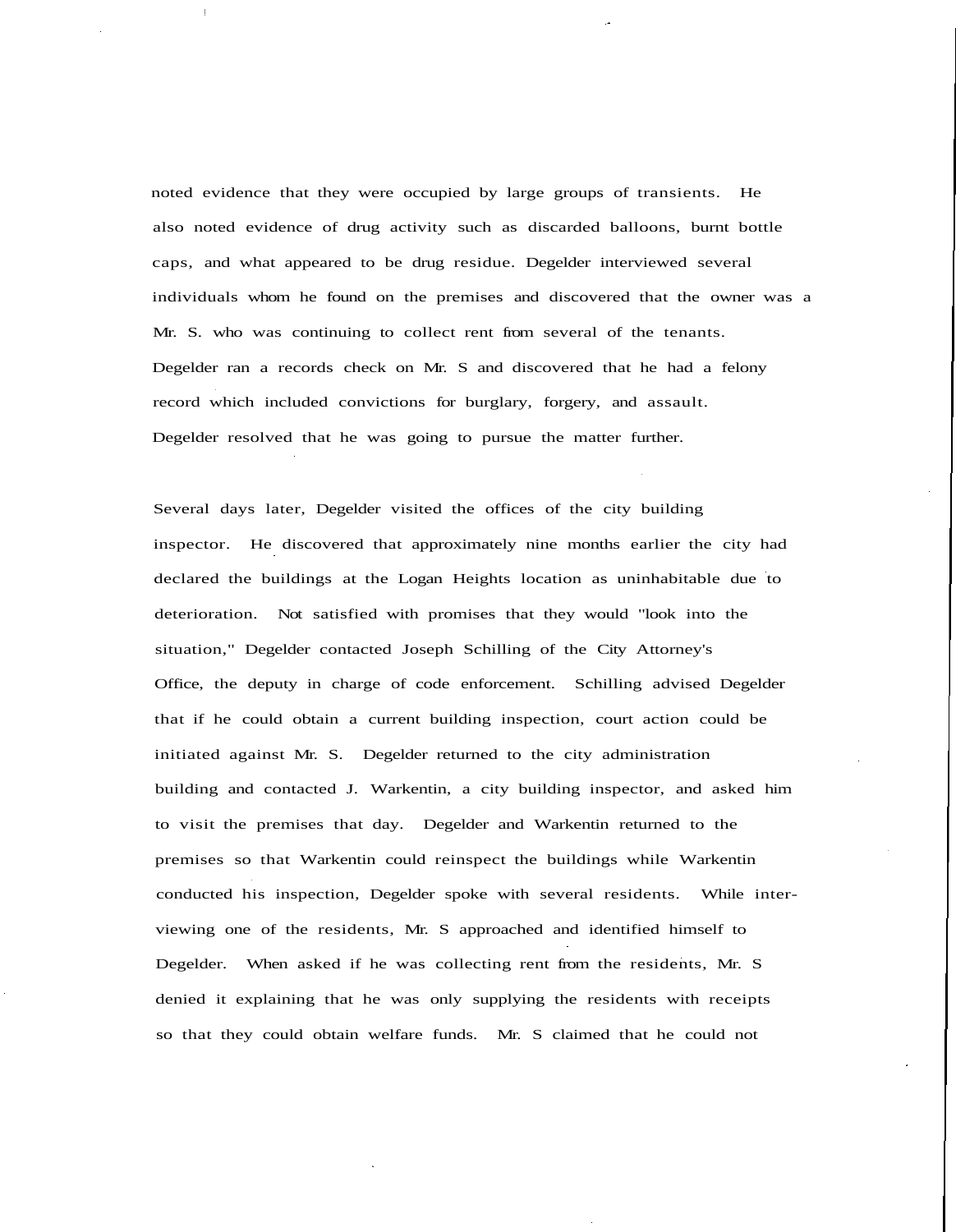noted evidence that they were occupied by large groups of transients. He also noted evidence of drug activity such as discarded balloons, burnt bottle caps, and what appeared to be drug residue. Degelder interviewed several individuals whom he found on the premises and discovered that the owner was a Mr. S. who was continuing to collect rent from several of the tenants. Degelder ran a records check on Mr. S and discovered that he had a felony record which included convictions for burglary, forgery, and assault. Degelder resolved that he was going to pursue the matter further.

Several days later, Degelder visited the offices of the city building inspector. He discovered that approximately nine months earlier the city had declared the buildings at the Logan Heights location as uninhabitable due to deterioration. Not satisfied with promises that they would "look into the situation," Degelder contacted Joseph Schilling of the City Attorney's Office, the deputy in charge of code enforcement. Schilling advised Degelder that if he could obtain a current building inspection, court action could be initiated against Mr. S. Degelder returned to the city administration building and contacted J. Warkentin, a city building inspector, and asked him to visit the premises that day. Degelder and Warkentin returned to the premises so that Warkentin could reinspect the buildings while Warkentin conducted his inspection, Degelder spoke with several residents. While interviewing one of the residents, Mr. S approached and identified himself to Degelder. When asked if he was collecting rent from the residents, Mr. S denied it explaining that he was only supplying the residents with receipts so that they could obtain welfare funds. Mr. S claimed that he could not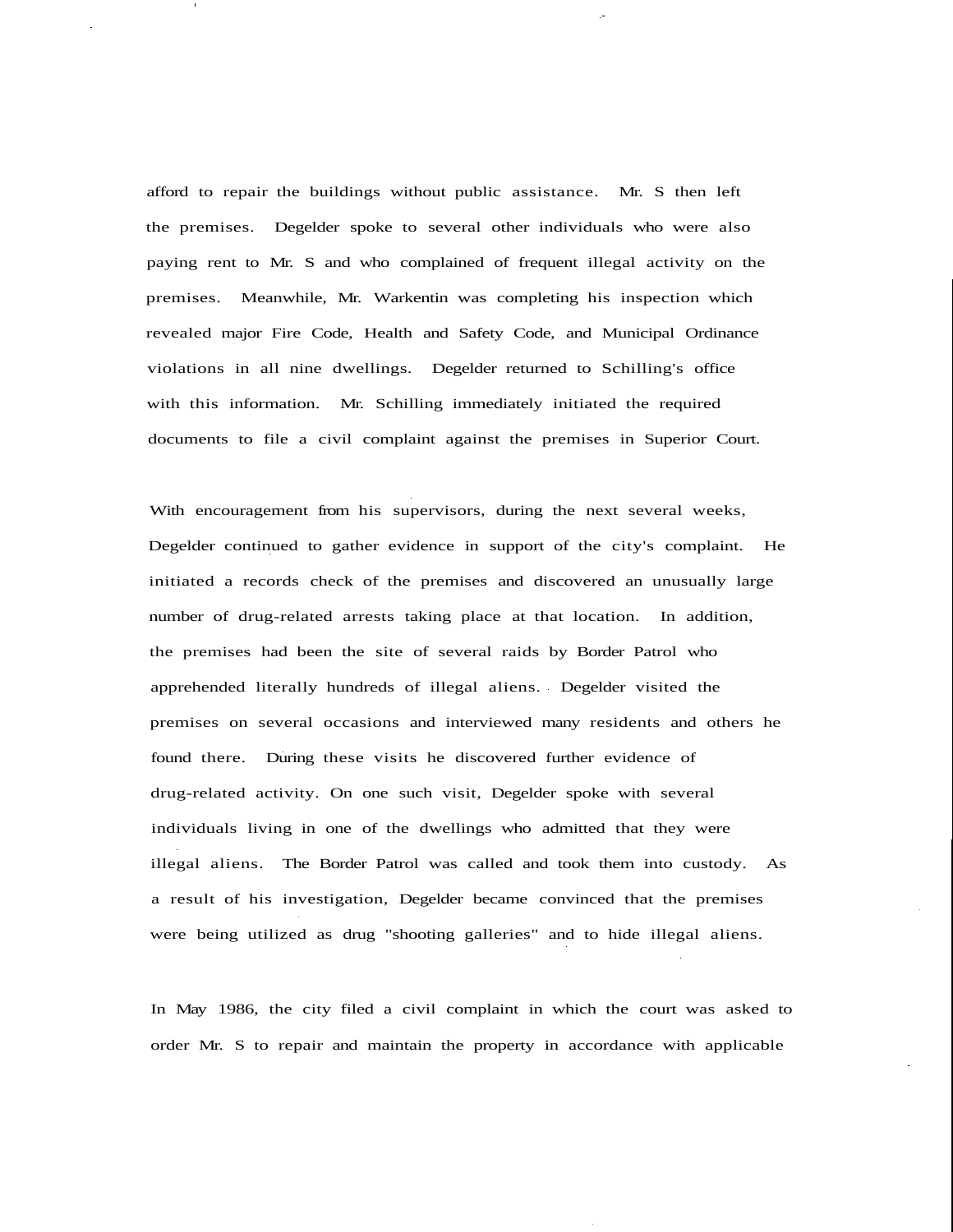afford to repair the buildings without public assistance. Mr. S then left the premises. Degelder spoke to several other individuals who were also paying rent to Mr. S and who complained of frequent illegal activity on the premises. Meanwhile, Mr. Warkentin was completing his inspection which revealed major Fire Code, Health and Safety Code, and Municipal Ordinance violations in all nine dwellings. Degelder returned to Schilling's office with this information. Mr. Schilling immediately initiated the required documents to file a civil complaint against the premises in Superior Court.

With encouragement from his supervisors, during the next several weeks, Degelder continued to gather evidence in support of the city's complaint. He initiated a records check of the premises and discovered an unusually large number of drug-related arrests taking place at that location. In addition, the premises had been the site of several raids by Border Patrol who apprehended literally hundreds of illegal aliens. Degelder visited the premises on several occasions and interviewed many residents and others he found there. During these visits he discovered further evidence of drug-related activity. On one such visit, Degelder spoke with several individuals living in one of the dwellings who admitted that they were illegal aliens. The Border Patrol was called and took them into custody. As a result of his investigation, Degelder became convinced that the premises were being utilized as drug "shooting galleries" and to hide illegal aliens.

In May 1986, the city filed a civil complaint in which the court was asked to order Mr. S to repair and maintain the property in accordance with applicable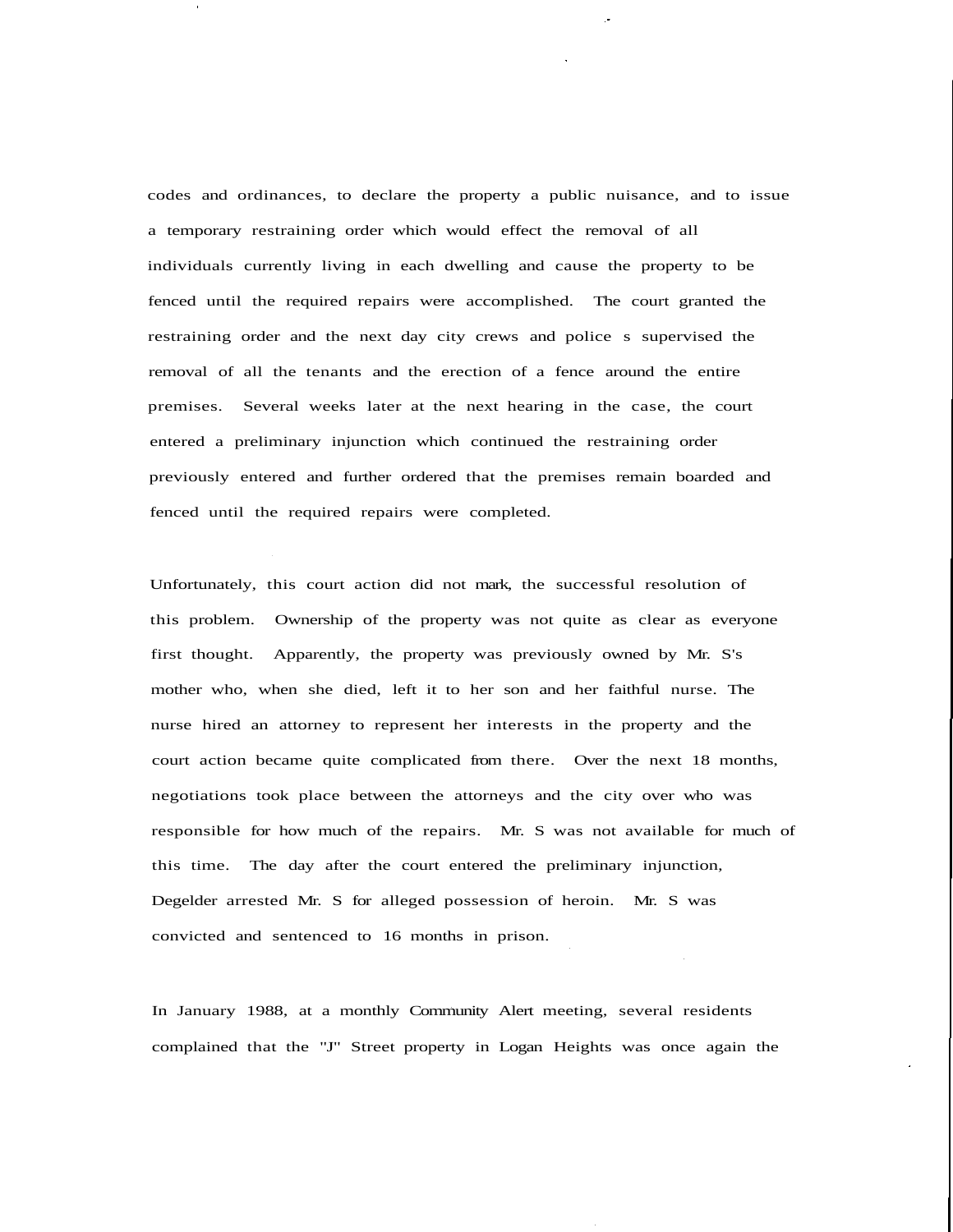codes and ordinances, to declare the property a public nuisance, and to issue a temporary restraining order which would effect the removal of all individuals currently living in each dwelling and cause the property to be fenced until the required repairs were accomplished. The court granted the restraining order and the next day city crews and police s supervised the removal of all the tenants and the erection of a fence around the entire premises. Several weeks later at the next hearing in the case, the court entered a preliminary injunction which continued the restraining order previously entered and further ordered that the premises remain boarded and fenced until the required repairs were completed.

Unfortunately, this court action did not mark, the successful resolution of this problem. Ownership of the property was not quite as clear as everyone first thought. Apparently, the property was previously owned by Mr. S's mother who, when she died, left it to her son and her faithful nurse. The nurse hired an attorney to represent her interests in the property and the court action became quite complicated from there. Over the next 18 months, negotiations took place between the attorneys and the city over who was responsible for how much of the repairs. Mr. S was not available for much of this time. The day after the court entered the preliminary injunction, Degelder arrested Mr. S for alleged possession of heroin. Mr. S was convicted and sentenced to 16 months in prison.

In January 1988, at a monthly Community Alert meeting, several residents complained that the "J" Street property in Logan Heights was once again the